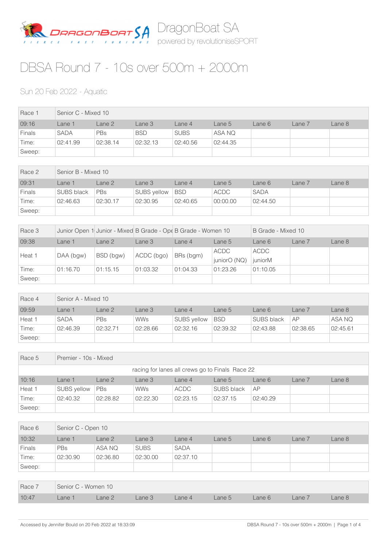

## DBSA Round 7 - 10s over 500m + 2000m

## Sun 20 Feb 2022 - Aquatic

| Race 1        | Senior C - Mixed 10 |            |            |             |          |        |        |        |  |
|---------------|---------------------|------------|------------|-------------|----------|--------|--------|--------|--|
| 09:16         | Lane 1              | Lane 2     | Lane 3     | Lane 4      | Lane 5   | Lane 6 | Lane 7 | Lane 8 |  |
| <b>Finals</b> | <b>SADA</b>         | <b>PBs</b> | <b>BSD</b> | <b>SUBS</b> | ASA NQ   |        |        |        |  |
| Time:         | 02:41.99            | 02:38.14   | 02:32.13   | 02:40.56    | 02:44.35 |        |        |        |  |
| Sweep:        |                     |            |            |             |          |        |        |        |  |

| Race 2        | Senior B - Mixed 10 |            |                    |            |             |             |        |        |  |
|---------------|---------------------|------------|--------------------|------------|-------------|-------------|--------|--------|--|
| 09:31         | Lane 1              | Lane 2     | Lane 3             | Lane 4     | Lane 5      | Lane 6      | Lane 7 | Lane 8 |  |
| <b>Finals</b> | <b>SUBS black</b>   | <b>PBs</b> | <b>SUBS yellow</b> | <b>BSD</b> | <b>ACDC</b> | <b>SADA</b> |        |        |  |
| Time:         | 02:46.63            | 02:30.17   | 02:30.95           | 02:40.65   | 00:00.00    | 02:44.50    |        |        |  |
| Sweep:        |                     |            |                    |            |             |             |        |        |  |

| Race 3 |           |           |            | Junior Open 1 Junior - Mixed B Grade - Ope B Grade - Women 10 |              | B Grade - Mixed 10 |        |        |  |
|--------|-----------|-----------|------------|---------------------------------------------------------------|--------------|--------------------|--------|--------|--|
| 09:38  | Lane 1    | Lane 2    | Lane 3     | Lane $4$                                                      | Lane 5       | Lane 6             | Lane 7 | Lane 8 |  |
| Heat 1 | DAA (bgw) | BSD (bgw) |            | BRs (bgm)                                                     | <b>ACDC</b>  | <b>ACDC</b>        |        |        |  |
|        |           |           | ACDC (bgo) |                                                               | juniorO (NQ) | juniorM            |        |        |  |
| Time:  | 01:16.70  | 01:15.15  | 01:03.32   | 01:04.33                                                      | 01:23.26     | 01:10.05           |        |        |  |
| Sweep: |           |           |            |                                                               |              |                    |        |        |  |

| Race 4 | Senior A - Mixed 10 |          |            |                    |            |            |          |          |  |
|--------|---------------------|----------|------------|--------------------|------------|------------|----------|----------|--|
| 09:59  | ane 1               | Lane 2   | Lane 3     | Lane $4$           | Lane 5     | Lane 6     | Lane 7   | Lane 8   |  |
| Heat 1 | <b>SADA</b>         | PBs      | <b>WWs</b> | <b>SUBS vellow</b> | <b>BSD</b> | SUBS black | AP       | ASA NQ   |  |
| Time:  | 02:46.39            | 02:32.71 | 02:28.66   | 02:32.16           | 02:39.32   | 02:43.88   | 02:38.65 | 02:45.61 |  |
| Sweep: |                     |          |            |                    |            |            |          |          |  |

| Race 5                                          | Premier - 10s - Mixed |                                                                    |            |          |                   |          |  |  |  |  |
|-------------------------------------------------|-----------------------|--------------------------------------------------------------------|------------|----------|-------------------|----------|--|--|--|--|
| racing for lanes all crews go to Finals Race 22 |                       |                                                                    |            |          |                   |          |  |  |  |  |
| 10:16                                           | Lane 1                | Lane 2<br>Lane 8<br>Lane 3<br>Lane 7<br>Lane 6<br>Lane 4<br>Lane 5 |            |          |                   |          |  |  |  |  |
| Heat 1                                          | <b>SUBS vellow</b>    | <b>PBs</b>                                                         | <b>WWs</b> | ACDC     | <b>SUBS black</b> | AP       |  |  |  |  |
| Time:                                           | 02:40.32              | 02:28.82                                                           | 02:22.30   | 02:23.15 | 02:37.15          | 02:40.29 |  |  |  |  |
| Sweep:                                          |                       |                                                                    |            |          |                   |          |  |  |  |  |

| Race 6        | Senior C - Open 10 |          |             |             |        |        |        |        |  |
|---------------|--------------------|----------|-------------|-------------|--------|--------|--------|--------|--|
| 10:32         | _ane 1             | Lane 2   | Lane 3      | Lane 4      | Lane 5 | Lane 6 | Lane 7 | Lane 8 |  |
| <b>Finals</b> | <b>PBs</b>         | ASA NQ   | <b>SUBS</b> | <b>SADA</b> |        |        |        |        |  |
| Time:         | 02:30.90           | 02:36.80 | 02:30.00    | 02:37.10    |        |        |        |        |  |
| Sweep:        |                    |          |             |             |        |        |        |        |  |

|       | Race 7 Senior C - Women 10 |                      |  |        |                      |  |  |        |  |
|-------|----------------------------|----------------------|--|--------|----------------------|--|--|--------|--|
| 10:47 |                            | Lane 1 Lane 2 Lane 3 |  | Lane 4 | Lane 5 Lane 6 Lane 7 |  |  | Lane 8 |  |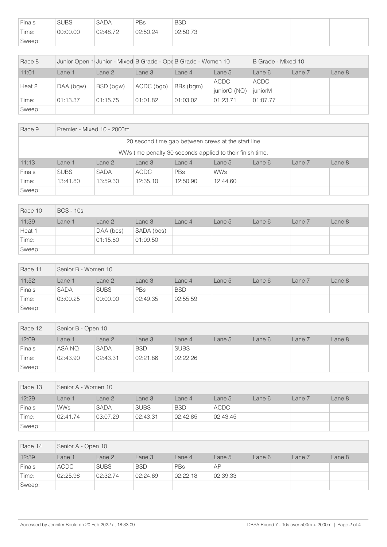| Finals | <b>SUBS</b> | <b>SADA</b> | PBs      | <b>BSD</b> |  |  |
|--------|-------------|-------------|----------|------------|--|--|
| Time:  | 00:00.00    | 02:48.72    | 02:50.24 | 02:50.73   |  |  |
| Sweep: |             |             |          |            |  |  |

| Race 8 |           |           |            | Junior Open 1 Junior - Mixed B Grade - Ope B Grade - Women 10 |                             | B Grade - Mixed 10     |        |        |  |
|--------|-----------|-----------|------------|---------------------------------------------------------------|-----------------------------|------------------------|--------|--------|--|
| 11:01  | Lane 1    | Lane 2    | Lane 3     | Lane $4$                                                      | Lane 5                      | Lane 6                 | Lane 7 | Lane 8 |  |
| Heat 2 | DAA (bgw) | BSD (bgw) | ACDC (bgo) | BRs (bgm)                                                     | <b>ACDC</b><br>juniorO (NQ) | <b>ACDC</b><br>juniorM |        |        |  |
| Time:  | 01:13.37  | 01:15.75  | 01:01.82   | 01:03.02                                                      | 01:23.71                    | 01:07.77               |        |        |  |
| Sweep: |           |           |            |                                                               |                             |                        |        |        |  |

| Race 9                                                    | Premier - Mixed 10 - 2000m |             |             |          |            |        |        |        |  |
|-----------------------------------------------------------|----------------------------|-------------|-------------|----------|------------|--------|--------|--------|--|
| 20 second time gap between crews at the start line        |                            |             |             |          |            |        |        |        |  |
| WWs time penalty 30 seconds applied to their finish time. |                            |             |             |          |            |        |        |        |  |
| 11:13                                                     | Lane 1                     | Lane 2      | Lane 3      | Lane $4$ | Lane 5     | Lane 6 | Lane 7 | Lane 8 |  |
| Finals                                                    | <b>SUBS</b>                | <b>SADA</b> | <b>ACDC</b> | PBs      | <b>WWs</b> |        |        |        |  |
| Time:                                                     | 13:41.80                   | 13:59.30    | 12:35.10    | 12:50.90 | 12:44.60   |        |        |        |  |
| Sweep:                                                    |                            |             |             |          |            |        |        |        |  |

| Race 10 | <b>BCS - 10s</b> |           |            |        |        |        |        |        |  |
|---------|------------------|-----------|------------|--------|--------|--------|--------|--------|--|
| 11:39   | Lane 1           | Lane 2    | Lane 3     | Lane 4 | Lane 5 | Lane 6 | Lane 7 | Lane 8 |  |
| Heat 1  |                  | DAA (bcs) | SADA (bcs) |        |        |        |        |        |  |
| Time:   |                  | 01:15.80  | 01:09.50   |        |        |        |        |        |  |
| Sweep:  |                  |           |            |        |        |        |        |        |  |

| Race 11       | Senior B - Women 10 |             |            |            |        |        |        |        |  |
|---------------|---------------------|-------------|------------|------------|--------|--------|--------|--------|--|
| 11:52         | Lane 1              | Lane 2      | Lane 3     | Lane 4     | Lane 5 | Lane 6 | Lane 7 | Lane 8 |  |
| <b>Finals</b> | <b>SADA</b>         | <b>SUBS</b> | <b>PBs</b> | <b>BSD</b> |        |        |        |        |  |
| Time:         | 03:00.25            | 00:00.00    | 02:49.35   | 02:55.59   |        |        |        |        |  |
| Sweep:        |                     |             |            |            |        |        |        |        |  |

| Race 12 | Senior B - Open 10 |             |            |             |        |        |        |        |  |
|---------|--------------------|-------------|------------|-------------|--------|--------|--------|--------|--|
| 12:09   | Lane 1             | Lane 2      | Lane 3     | Lane 4      | Lane 5 | Lane 6 | Lane 7 | Lane 8 |  |
| Finals  | ASA NQ             | <b>SADA</b> | <b>BSD</b> | <b>SUBS</b> |        |        |        |        |  |
| Time:   | 02:43.90           | 02:43.31    | 02:21.86   | 02:22.26    |        |        |        |        |  |
| Sweep:  |                    |             |            |             |        |        |        |        |  |

| Race 13 |            | Senior A - Women 10 |             |            |             |        |        |        |  |  |
|---------|------------|---------------------|-------------|------------|-------------|--------|--------|--------|--|--|
| 12:29   | _ane 1     | Lane 2              | Lane 3      | Lane 4     | Lane 5      | Lane 6 | Lane 7 | Lane 8 |  |  |
| Finals  | <b>WWs</b> | <b>SADA</b>         | <b>SUBS</b> | <b>BSD</b> | <b>ACDC</b> |        |        |        |  |  |
| Time:   | 02:41.74   | 03:07.29            | 02:43.31    | 02:42.85   | 02:43.45    |        |        |        |  |  |
| Sweep:  |            |                     |             |            |             |        |        |        |  |  |

| Race 14 |             | Senior A - Open 10 |            |          |          |        |        |        |  |  |
|---------|-------------|--------------------|------------|----------|----------|--------|--------|--------|--|--|
| 12:39   | Lane 1      | Lane 2             | Lane 3     | Lane 4   | Lane 5   | Lane 6 | Lane 7 | Lane 8 |  |  |
| Finals  | <b>ACDC</b> | <b>SUBS</b>        | <b>BSD</b> | PBs      | AP       |        |        |        |  |  |
| Time:   | 02:25.98    | 02:32.74           | 02:24.69   | 02:22.18 | 02:39.33 |        |        |        |  |  |
| Sweep:  |             |                    |            |          |          |        |        |        |  |  |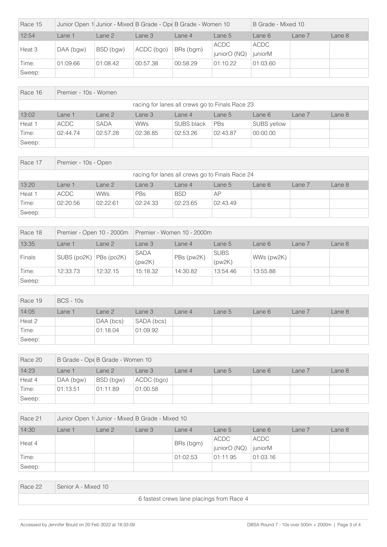| Race 15 |             |           | Junior Open 1 Junior - Mixed B Grade - Ope B Grade - Women 10 |           |              | B Grade - Mixed 10 |        |        |
|---------|-------------|-----------|---------------------------------------------------------------|-----------|--------------|--------------------|--------|--------|
| 12:54   | Lane 1      | Lane 2    | Lane 3                                                        | Lane 4    | Lane 5       | Lane 6             | Lane 7 | Lane 8 |
| Heat 3  | $DAA$ (bgw) | BSD (bgw) | ACDC (bgo)                                                    | BRs (bgm) | ACDC         | ACDC               |        |        |
|         |             |           |                                                               |           | juniorO (NQ) | juniorM            |        |        |
| Time:   | 01:09.66    | 01:08.42  | 00:57.38                                                      | 00:58.29  | 01:10.22     | 01:03.60           |        |        |
| Sweep:  |             |           |                                                               |           |              |                    |        |        |

| Race 16 |          | Premier - 10s - Women |                                                 |            |          |             |        |        |  |  |  |
|---------|----------|-----------------------|-------------------------------------------------|------------|----------|-------------|--------|--------|--|--|--|
|         |          |                       | racing for lanes all crews go to Finals Race 23 |            |          |             |        |        |  |  |  |
| 13:02   | Lane 1   | Lane 2                | Lane 3                                          | Lane $4$   | Lane 5   | Lane 6      | Lane 7 | Lane 8 |  |  |  |
| Heat 1  | ACDC     | <b>SADA</b>           | <b>WWs</b>                                      | SUBS black | PBs      | SUBS yellow |        |        |  |  |  |
| Time:   | 02:44.74 | 02:57.28              | 02:38.85                                        | 02:53.26   | 02:43.87 | 00:00.00    |        |        |  |  |  |
| Sweep:  |          |                       |                                                 |            |          |             |        |        |  |  |  |

| Race 17                                         |             | Premier - 10s - Open                                               |            |            |           |  |  |  |  |  |  |  |
|-------------------------------------------------|-------------|--------------------------------------------------------------------|------------|------------|-----------|--|--|--|--|--|--|--|
| racing for lanes all crews go to Finals Race 24 |             |                                                                    |            |            |           |  |  |  |  |  |  |  |
| 13:20                                           | Lane 1      | Lane 3<br>Lane 8<br>Lane 2<br>Lane 7<br>Lane 6<br>Lane 5<br>Lane 4 |            |            |           |  |  |  |  |  |  |  |
| Heat 1                                          | <b>ACDC</b> | <b>WWs</b>                                                         | <b>PBs</b> | <b>BSD</b> | <b>AP</b> |  |  |  |  |  |  |  |
| Time:                                           | 02:20.56    | 02:22.61                                                           | 02:24.33   | 02:23.65   | 02:43.49  |  |  |  |  |  |  |  |
| Sweep:                                          |             |                                                                    |            |            |           |  |  |  |  |  |  |  |

| Race 18 |             |            |                       | Premier - Open 10 - 2000m   Premier - Women 10 - 2000m |                       |            |        |        |  |
|---------|-------------|------------|-----------------------|--------------------------------------------------------|-----------------------|------------|--------|--------|--|
| 13:35   | Lane 1      | Lane 2     | Lane 3                | Lane 4                                                 | Lane 5                | Lane 6     | Lane 7 | Lane 8 |  |
| Finals  | SUBS (po2K) | PBs (po2K) | <b>SADA</b><br>(pw2K) | PBs (pw2K)                                             | <b>SUBS</b><br>(pw2K) | WWs (pw2K) |        |        |  |
| Time:   | 12:33.73    | 12:32.15   | 15:18.32              | 14:30.82                                               | 13:54.46              | 13:55.88   |        |        |  |
| Sweep:  |             |            |                       |                                                        |                       |            |        |        |  |

| Race 19 | <b>BCS - 10s</b> |           |            |        |        |        |        |        |
|---------|------------------|-----------|------------|--------|--------|--------|--------|--------|
| 14:05   | Lane 1           | Lane 2    | Lane 3     | Lane 4 | Lane 5 | Lane 6 | Lane 7 | Lane 8 |
| Heat 2  |                  | DAA (bcs) | SADA (bcs) |        |        |        |        |        |
| Time:   |                  | 01:18.04  | 01:09.92   |        |        |        |        |        |
| Sweep:  |                  |           |            |        |        |        |        |        |

| Race 20 |           | B Grade - Ope B Grade - Women 10 |            |        |        |        |        |        |  |  |
|---------|-----------|----------------------------------|------------|--------|--------|--------|--------|--------|--|--|
| 14:23   | _ane 1    | Lane 2                           | Lane 3     | Lane 4 | Lane 5 | Lane 6 | Lane 7 | Lane 8 |  |  |
| Heat 4  | DAA (bgw) | BSD (bgw)                        | ACDC (bgo) |        |        |        |        |        |  |  |
| Time:   | 01:13.51  | 01:11.89                         | 01:00.58   |        |        |        |        |        |  |  |
| Sweep:  |           |                                  |            |        |        |        |        |        |  |  |

| Race 21 | Junior Open 1 Junior - Mixed B Grade - Mixed 10 |        |        |           |                      |                 |        |        |
|---------|-------------------------------------------------|--------|--------|-----------|----------------------|-----------------|--------|--------|
| 14:30   | Lane 1                                          | Lane 2 | Lane 3 | Lane 4    | Lane 5               | Lane 6          | Lane 7 | Lane 8 |
| Heat 4  |                                                 |        |        | BRs (bgm) | ACDC<br>juniorO (NQ) | ACDC<br>juniorM |        |        |
| Time:   |                                                 |        |        | 01:02.53  | 01:11.95             | 01:03.16        |        |        |
| Sweep:  |                                                 |        |        |           |                      |                 |        |        |

| Race 22 | Senior A - Mixed 10                       |
|---------|-------------------------------------------|
|         | 6 fastest crews lane placings from Race 4 |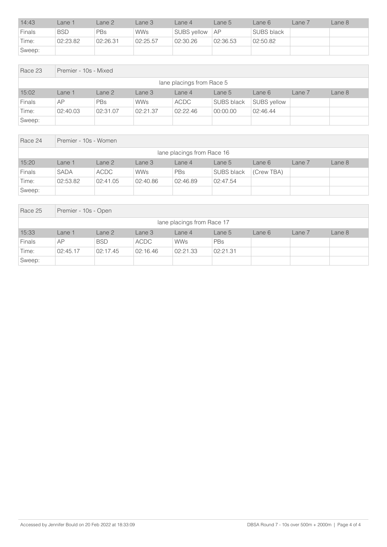| 14:43         | _ane 1     | Lane 2     | _ane 3     | Lane 4           | Lane 5   | Lane 6     | Lane 7 | Lane 8 |
|---------------|------------|------------|------------|------------------|----------|------------|--------|--------|
| <b>Finals</b> | <b>BSD</b> | <b>PBs</b> | <b>WWs</b> | SUBS yellow   AP |          | SUBS black |        |        |
| Time:         | 02:23.82   | 02:26.31   | 02:25.57   | 02:30.26         | 02:36.53 | 02:50.82   |        |        |
| Sweep:        |            |            |            |                  |          |            |        |        |

| Race 23                   | Premier - 10s - Mixed |            |            |          |                   |             |        |        |  |  |
|---------------------------|-----------------------|------------|------------|----------|-------------------|-------------|--------|--------|--|--|
| lane placings from Race 5 |                       |            |            |          |                   |             |        |        |  |  |
| 15:02                     | Lane 1                | Lane 2     | Lane 3     | Lane 4   | Lane 5            | Lane 6      | Lane 7 | Lane 8 |  |  |
| Finals                    | AP                    | <b>PBs</b> | <b>WWs</b> | ACDC     | <b>SUBS black</b> | SUBS yellow |        |        |  |  |
| Time:                     | 02:40.03              | 02:31.07   | 02:21.37   | 02:22.46 | 00:00.00          | 02:46.44    |        |        |  |  |
| Sweep:                    |                       |            |            |          |                   |             |        |        |  |  |

| Race 24                    | Premier - 10s - Women |             |            |            |                   |            |        |        |  |  |
|----------------------------|-----------------------|-------------|------------|------------|-------------------|------------|--------|--------|--|--|
| lane placings from Race 16 |                       |             |            |            |                   |            |        |        |  |  |
| 15:20                      | Lane 1                | Lane 2      | Lane 3     | Lane 4     | Lane 5            | Lane 6     | Lane 7 | Lane 8 |  |  |
| <b>Finals</b>              | <b>SADA</b>           | <b>ACDC</b> | <b>WWs</b> | <b>PBs</b> | <b>SUBS black</b> | (Crew TBA) |        |        |  |  |
| Time:                      | 02:53.82              | 02:41.05    | 02:40.86   | 02:46.89   | 02:47.54          |            |        |        |  |  |
| Sweep:                     |                       |             |            |            |                   |            |        |        |  |  |

| Race 25                    | Premier - 10s - Open |            |             |            |          |        |        |        |  |
|----------------------------|----------------------|------------|-------------|------------|----------|--------|--------|--------|--|
| lane placings from Race 17 |                      |            |             |            |          |        |        |        |  |
| 15:33                      | Lane 1               | Lane 2     | Lane 3      | Lane 4     | Lane 5   | Lane 6 | Lane 7 | Lane 8 |  |
| Finals                     | AP                   | <b>BSD</b> | <b>ACDC</b> | <b>WWs</b> | PBs      |        |        |        |  |
| Time:                      | 02:45.17             | 02:17.45   | 02:16.46    | 02:21.33   | 02:21.31 |        |        |        |  |
| Sweep:                     |                      |            |             |            |          |        |        |        |  |